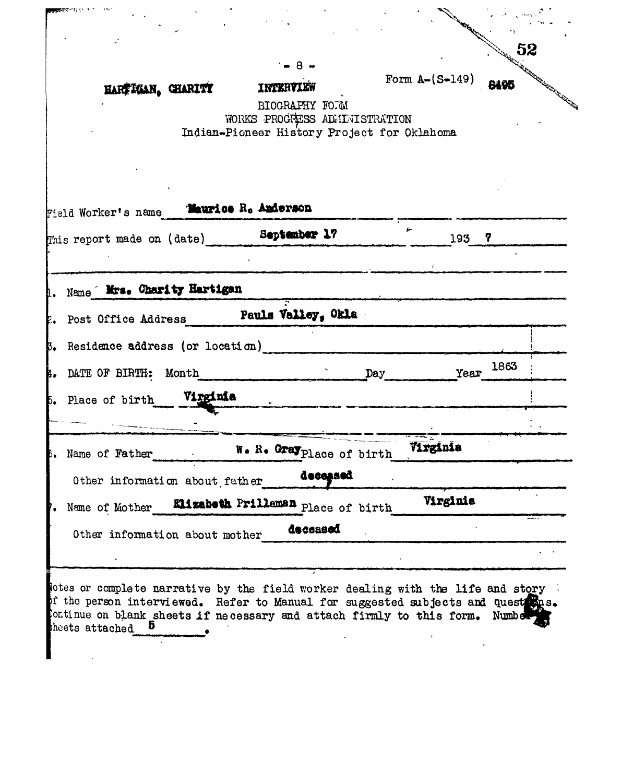|                                                                                                                                                                     |                                             |                               |                  | 52                                                                                                                                |
|---------------------------------------------------------------------------------------------------------------------------------------------------------------------|---------------------------------------------|-------------------------------|------------------|-----------------------------------------------------------------------------------------------------------------------------------|
|                                                                                                                                                                     |                                             | - 8 -                         |                  |                                                                                                                                   |
| HARTIGAN, CHARITY                                                                                                                                                   | INTERVIEW                                   |                               | Form $A-(S-149)$ | <b>Karl House Company Company Company Company Company Company Company Company Company Company Company Company Company</b><br>8495 |
|                                                                                                                                                                     |                                             | BIOGRAPHY FORM                |                  |                                                                                                                                   |
|                                                                                                                                                                     |                                             | WORKS PROGRESS ADMINISTRATION |                  |                                                                                                                                   |
|                                                                                                                                                                     | Indian-Pioneer History Project for Oklahoma |                               |                  |                                                                                                                                   |
|                                                                                                                                                                     |                                             |                               |                  |                                                                                                                                   |
|                                                                                                                                                                     |                                             |                               |                  |                                                                                                                                   |
|                                                                                                                                                                     |                                             |                               |                  |                                                                                                                                   |
| Field Worker's name                                                                                                                                                 | Maurice R. Anderson                         |                               |                  |                                                                                                                                   |
| This report made on (date) September 17                                                                                                                             |                                             |                               | 193 <sup>7</sup> |                                                                                                                                   |
|                                                                                                                                                                     |                                             |                               |                  |                                                                                                                                   |
|                                                                                                                                                                     |                                             |                               |                  |                                                                                                                                   |
| 1. Name Mrs. Charity Hartigan                                                                                                                                       |                                             |                               |                  |                                                                                                                                   |
| Post Office Address Pauls Valley, Okla                                                                                                                              |                                             |                               |                  |                                                                                                                                   |
|                                                                                                                                                                     |                                             |                               |                  |                                                                                                                                   |
| 5. Residence address (or location)                                                                                                                                  |                                             |                               |                  |                                                                                                                                   |
| 4. DATE OF BIRTH: Month                                                                                                                                             |                                             | Day                           |                  | Year 1863                                                                                                                         |
|                                                                                                                                                                     |                                             |                               |                  |                                                                                                                                   |
| 5. Place of birth Virginia                                                                                                                                          |                                             |                               |                  |                                                                                                                                   |
|                                                                                                                                                                     |                                             |                               |                  |                                                                                                                                   |
| Name of Father                                                                                                                                                      |                                             | W. R. Gray place of birth     | Virginia         |                                                                                                                                   |
|                                                                                                                                                                     |                                             | deceased                      |                  |                                                                                                                                   |
| Other information about father                                                                                                                                      |                                             |                               |                  |                                                                                                                                   |
| Name of Mother                                                                                                                                                      | Elizabeth Frilleman Place of birth          |                               | Virginia         |                                                                                                                                   |
|                                                                                                                                                                     |                                             | decessed                      |                  |                                                                                                                                   |
| Other information about mother                                                                                                                                      |                                             |                               |                  |                                                                                                                                   |
|                                                                                                                                                                     |                                             |                               |                  |                                                                                                                                   |
|                                                                                                                                                                     |                                             |                               |                  |                                                                                                                                   |
| lotes or complete narrative by the field worker dealing with the life and story<br>of the person interviewed. Refer to Manual for suggested subjects and quest mas. |                                             |                               |                  |                                                                                                                                   |
| Continue on blank sheets if necessary and attach firmly to this form.                                                                                               |                                             |                               |                  | Numbe <sub>2</sub>                                                                                                                |
| sheets attached                                                                                                                                                     |                                             |                               |                  |                                                                                                                                   |
|                                                                                                                                                                     |                                             |                               |                  |                                                                                                                                   |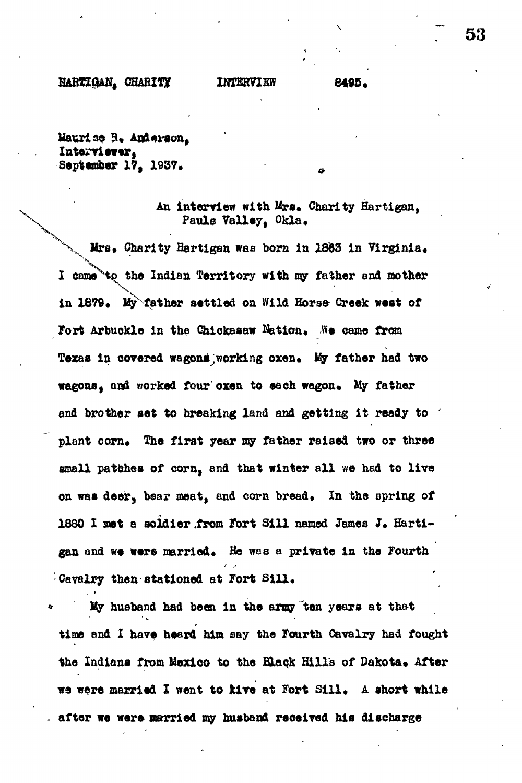### **CHABIT? IKEERVISW 6495 .**

**kauri ao R, Interviewer , September 17, 1937.**

## An interview with Mrs. Charity Hartigan, Pauls Valley. Okla.

 $Mrs.$  Charity Hartigan was born in 1863 in Virginia. I came<sup>to</sup> to the Indian Territory with my father and mother in 1879. My father settled on Wild Horse- Creek west of Fort Arbuckle in the Chickasaw Nation. We came from Texas in covered wagons working oxen. My father had two **wagons**, and worked four oxen to each wagon. My father and brother set to breaking land and getting it ready to plant corn. The first year my father raised two or three small patches of corn, and that winter all we had to live on was deer, bear meat, and corn bread. In the spring of 1880 I met a soldier from Fort Sill named James J. Hartigan and we were married. He was a private in the Fourth **Cavalry then stationed at Fort Sill \***

**\* My husband had been i n the army ten year s a t tha t time and I have heard him say the Fourth Cavalry had fought** the Indians from Mexico to the Black Hills of Dakota. After **we were married I went to kive at Fort Sill. A short while** after we were married my husband received his discharge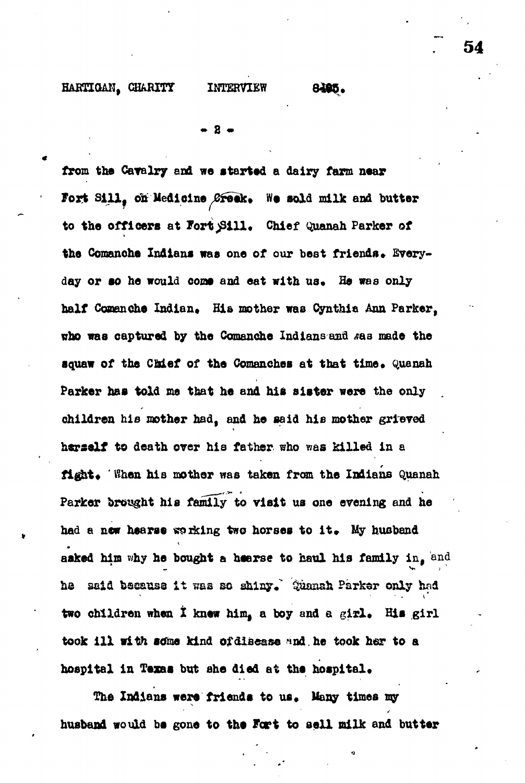### HARTIGAN, CHARITY INTERVIEW 8405.

**• 8 •**

**from the Cavalry end we started a dairy farm near** Fort Sill, on Medicine Greek. We sold milk and butter to the officers at Fort Sill. Chief Quanah Parker of the Comanche Indians was one of our best friends. Everyday or so he would come and eat with us. He was only half Comanche Indian, His mother was Cynthia Ann Parker, who was captured by the Comanche Indians and sas made the squaw of the Chief of the Comanches at that time. Quanah Parker has told me that he and his sister were the only **children his mother had, and he said his mother grieved herself to death over his father who was killed in a** fight. ' When his mother was taken from the Indians Quanah **Parker brought his family to visit us one evening and he** had a new hearse working two horses to it. My husband asked him why he bought a hearse to haul his family in, and he said because it was so shiny. Suansh Parker only had two children when I knew him, a boy and a girl. His girl took ill with some kind of disease and he took her to a **hospital in Texas but she died at the hospital\***

The Indians were friends to us. Many times my husband would be gone to the Fort to sell milk and butter **54**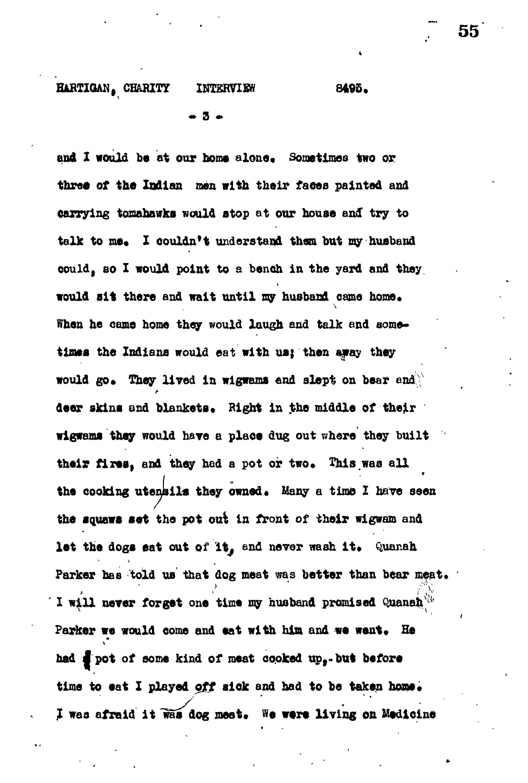# **HARTIGAN, CHARITY INTERVIEW 8495.** • 3 \*

and I would be at our home alone. Sometimes two or three of the Indian men with their faces painted and **carrying tomahawks would atop ot our house and try to** talk to me. I couldn't understand them but my husband **could, BO I would point to s bench in the yard and they would sit there and wait until my husband came home\*** When he came home they would laugh and talk and some**tines the Indians would eat with us; then away they** would go. They lived in wigwams end slept on bear and r deer skins and blankets and blankets in the middle of the middle of the middle of the middle of the middle of the  $\sim$ **wigwams they would hare a place dug out whore they built** their fires, and they had a pot or two. This was all the cooking utensils they owned. Many a time I have seen **the squaws set the pot out In front of their wigwam and** let the dogs eat out of it, and never wash it. Quanah **Parker has told us that dog meat was better than bear meat. 110AQT.** TOLRES one stms of neopens browned *chances*<sup>1</sup>. Parker we would come and eat with him and we went. He had  $\frac{1}{2}$  pot of some kind of meat cooked up,-but before time to eat I played off sick and had to be taken home. I was afraid it was dog meet. We were living on Medicine

**55**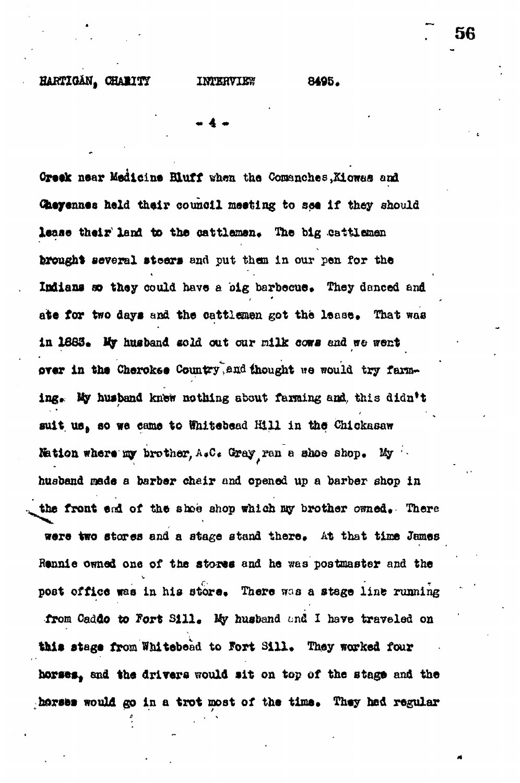**« 4 -**

**Groek near Medicine Bluff when the Comanches, Kiowas and Ctieyennes held their council meeting to see If they should** lease their land to the cattlemen. The big cattlemen **brought several steer s and put than In our pen for the** Indians so they could have a big barbecue. They danced and ate for two days and the cattlemen got the lease. That was **In 1863\*** *Ity* **husband sold out oar nilk eowa end w© went** over in the Cherokee Country, and thought we would try farming. My husband knew nothing about farming and, this didn<sup>t</sup>t suit us, so we came to Whitebead Hill in the Chickasaw **Kation where my brother, A.C. Gray ran a shoe shop.** My husband made a barber chair and opened up a barber shop in the front end of the shoe shop which my brother owned. There were two stores and a stage stand there. At that time James Rennie owned one of the stores and he was postmaster and the post office was in his store. There was a stage line running from Caddo to Fort Sill. My husband and I have traveled on this stage from Whitebead to Fort Sill. They worked four **horses<sup>f</sup> and the drivers would si t on top of the stage and the** horses would go in a trot most of the time. They hed regular **56**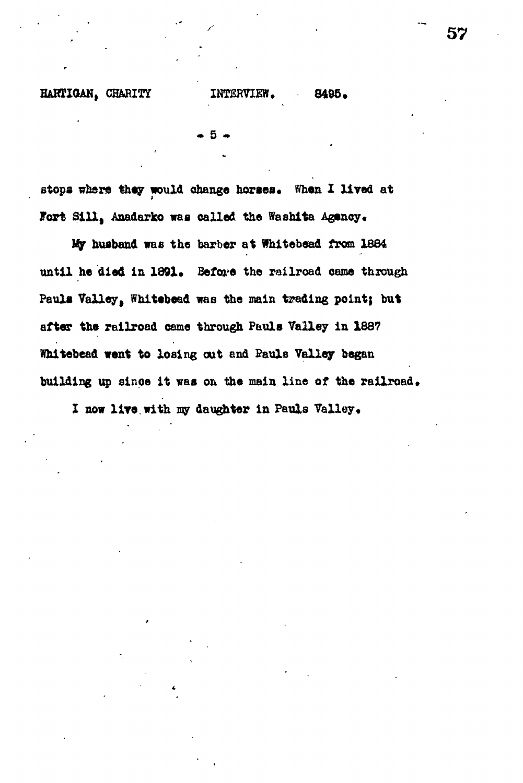**• 5 •**

stops where they would change horses. When I lived at **Fort Sill, Anadarko was called the Washita Agency.**

**tip husband was the barber at fhitebead from 1864 until he died in 1891. Before the railroad came through Pauls Valley, Whltebead was the main trading point; but after the railroad came through Pauls Valley in 1887 Whitebead went to losing out and Pauls Valley began** building up since it was on the main line of the railroad.

**X now lire, with my daughter in Pauls Valley•**